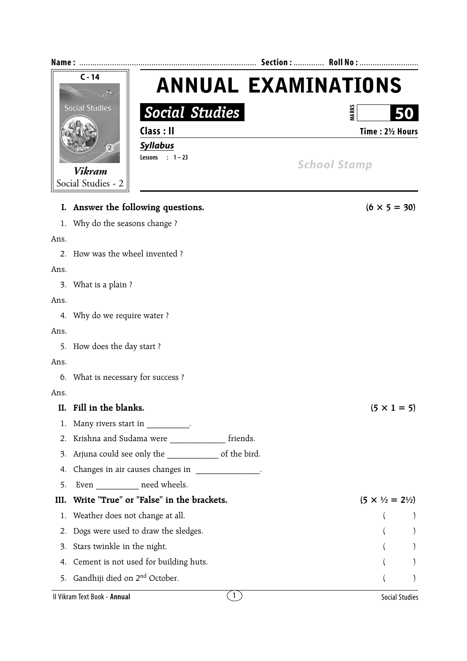|                | $C - 14$                                          | <b>ANNUAL EXAMINATIONS</b>              |                  |  |  |
|----------------|---------------------------------------------------|-----------------------------------------|------------------|--|--|
|                | A<br><b>Social Studies</b>                        |                                         |                  |  |  |
|                | <b>Social Studies</b>                             |                                         | <b>MARKS</b>     |  |  |
|                | Class: II                                         |                                         | Time: 21/2 Hours |  |  |
|                | <b>Syllabus</b><br>$\left( 2\right)$              |                                         |                  |  |  |
|                | Lessons : $1-23$                                  | <b>School Stamp</b>                     |                  |  |  |
|                | <b>Vikram</b><br>Social Studies - 2               |                                         |                  |  |  |
|                |                                                   |                                         |                  |  |  |
| I.             | Answer the following questions.                   | $(6 \times 5 = 30)$                     |                  |  |  |
| 1.             | Why do the seasons change?                        |                                         |                  |  |  |
| Ans.           |                                                   |                                         |                  |  |  |
| 2 <sub>1</sub> | How was the wheel invented ?                      |                                         |                  |  |  |
| Ans.           |                                                   |                                         |                  |  |  |
| 3.             | What is a plain ?                                 |                                         |                  |  |  |
| Ans.           |                                                   |                                         |                  |  |  |
| 4.             | Why do we require water?                          |                                         |                  |  |  |
| Ans.           |                                                   |                                         |                  |  |  |
| 5.             | How does the day start?                           |                                         |                  |  |  |
| Ans.           |                                                   |                                         |                  |  |  |
| 6.             | What is necessary for success?                    |                                         |                  |  |  |
| Ans.           |                                                   |                                         |                  |  |  |
| II.            | Fill in the blanks.                               | $(5 \times 1 = 5)$                      |                  |  |  |
| 1.             | Many rivers start in __________.                  |                                         |                  |  |  |
| 2.             | Krishna and Sudama were ________________ friends. |                                         |                  |  |  |
| 3.             | Arjuna could see only the same of the bird.       |                                         |                  |  |  |
| 4.             | Changes in air causes changes in _____________.   |                                         |                  |  |  |
| 5.             | Even ___________ need wheels.                     |                                         |                  |  |  |
| III.           | Write "True" or "False" in the brackets.          | $(5 \times \frac{1}{2} = 2\frac{1}{2})$ |                  |  |  |

1. Weather does not change at all. (a) 2. Dogs were used to draw the sledges. ( ) 3. Stars twinkle in the night. ( ) 4. Cement is not used for building huts. ( ) 5. Gandhiji died on 2<sup>nd</sup> October. ( )